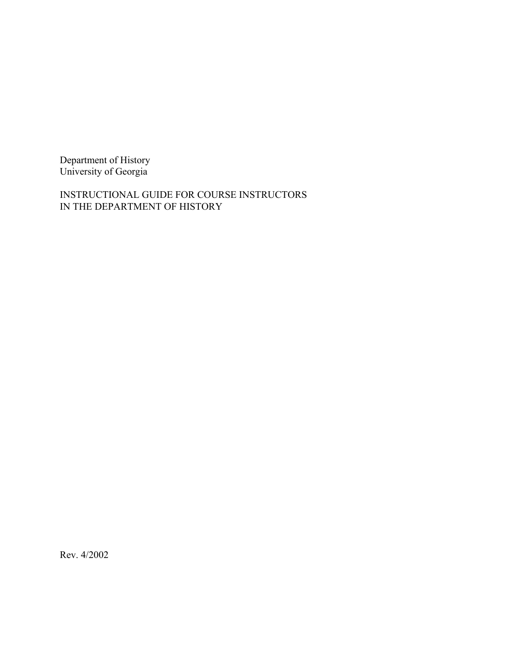Department of History University of Georgia

INSTRUCTIONAL GUIDE FOR COURSE INSTRUCTORS IN THE DEPARTMENT OF HISTORY

Rev. 4/2002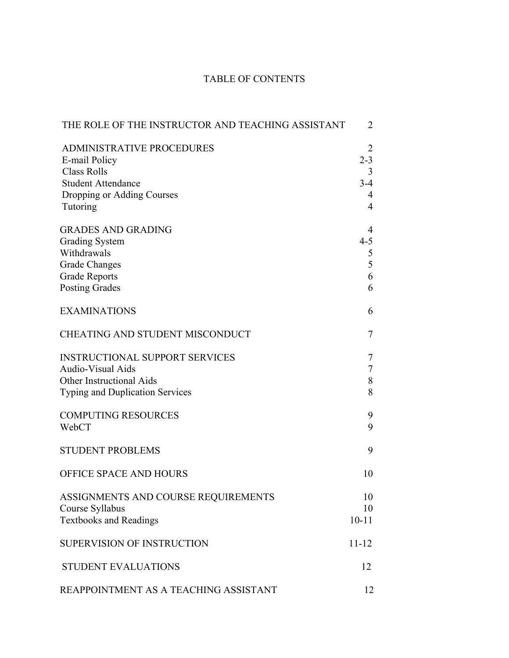# TABLE OF CONTENTS

| THE ROLE OF THE INSTRUCTOR AND TEACHING ASSISTANT                                                                                              | 2                                                 |
|------------------------------------------------------------------------------------------------------------------------------------------------|---------------------------------------------------|
| <b>ADMINISTRATIVE PROCEDURES</b><br>E-mail Policy<br><b>Class Rolls</b><br><b>Student Attendance</b><br>Dropping or Adding Courses<br>Tutoring | 2<br>$2 - 3$<br>3<br>$3-4$<br>4<br>$\overline{4}$ |
| <b>GRADES AND GRADING</b><br><b>Grading System</b><br>Withdrawals<br><b>Grade Changes</b><br><b>Grade Reports</b><br><b>Posting Grades</b>     | 4<br>$4 - 5$<br>5<br>5<br>6<br>6                  |
| <b>EXAMINATIONS</b>                                                                                                                            | 6                                                 |
| <b>CHEATING AND STUDENT MISCONDUCT</b>                                                                                                         | 7                                                 |
| <b>INSTRUCTIONAL SUPPORT SERVICES</b><br><b>Audio-Visual Aids</b><br><b>Other Instructional Aids</b><br><b>Typing and Duplication Services</b> | 7<br>$\tau$<br>$8\,$<br>8                         |
| <b>COMPUTING RESOURCES</b><br>WebCT                                                                                                            | 9<br>9                                            |
| <b>STUDENT PROBLEMS</b>                                                                                                                        | 9                                                 |
| OFFICE SPACE AND HOURS                                                                                                                         | 10                                                |
| ASSIGNMENTS AND COURSE REQUIREMENTS<br>Course Syllabus<br><b>Textbooks and Readings</b>                                                        | 10<br>10<br>$10 - 11$                             |
| <b>SUPERVISION OF INSTRUCTION</b>                                                                                                              | $11 - 12$                                         |
| <b>STUDENT EVALUATIONS</b>                                                                                                                     | 12                                                |
| REAPPOINTMENT AS A TEACHING ASSISTANT                                                                                                          | 12                                                |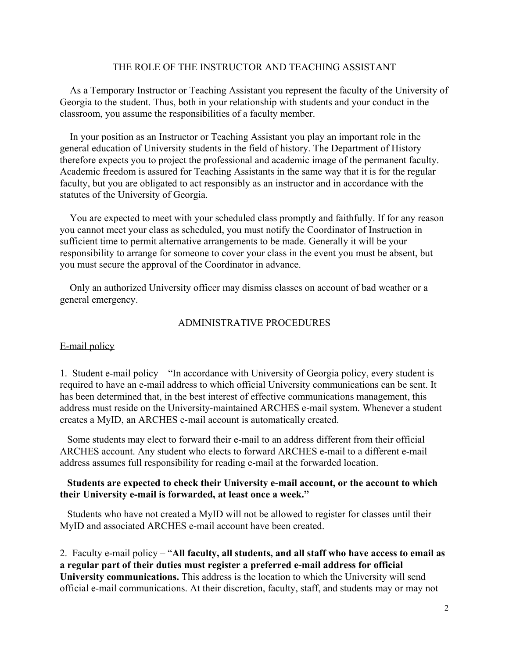### THE ROLE OF THE INSTRUCTOR AND TEACHING ASSISTANT

 As a Temporary Instructor or Teaching Assistant you represent the faculty of the University of Georgia to the student. Thus, both in your relationship with students and your conduct in the classroom, you assume the responsibilities of a faculty member.

 In your position as an Instructor or Teaching Assistant you play an important role in the general education of University students in the field of history. The Department of History therefore expects you to project the professional and academic image of the permanent faculty. Academic freedom is assured for Teaching Assistants in the same way that it is for the regular faculty, but you are obligated to act responsibly as an instructor and in accordance with the statutes of the University of Georgia.

 You are expected to meet with your scheduled class promptly and faithfully. If for any reason you cannot meet your class as scheduled, you must notify the Coordinator of Instruction in sufficient time to permit alternative arrangements to be made. Generally it will be your responsibility to arrange for someone to cover your class in the event you must be absent, but you must secure the approval of the Coordinator in advance.

 Only an authorized University officer may dismiss classes on account of bad weather or a general emergency.

#### ADMINISTRATIVE PROCEDURES

#### E-mail policy

1. Student e-mail policy – "In accordance with University of Georgia policy, every student is required to have an e-mail address to which official University communications can be sent. It has been determined that, in the best interest of effective communications management, this address must reside on the University-maintained ARCHES e-mail system. Whenever a student creates a MyID, an ARCHES e-mail account is automatically created.

 Some students may elect to forward their e-mail to an address different from their official ARCHES account. Any student who elects to forward ARCHES e-mail to a different e-mail address assumes full responsibility for reading e-mail at the forwarded location.

## **Students are expected to check their University e-mail account, or the account to which their University e-mail is forwarded, at least once a week."**

 Students who have not created a MyID will not be allowed to register for classes until their MyID and associated ARCHES e-mail account have been created.

2. Faculty e-mail policy – "**All faculty, all students, and all staff who have access to email as a regular part of their duties must register a preferred e-mail address for official University communications.** This address is the location to which the University will send official e-mail communications. At their discretion, faculty, staff, and students may or may not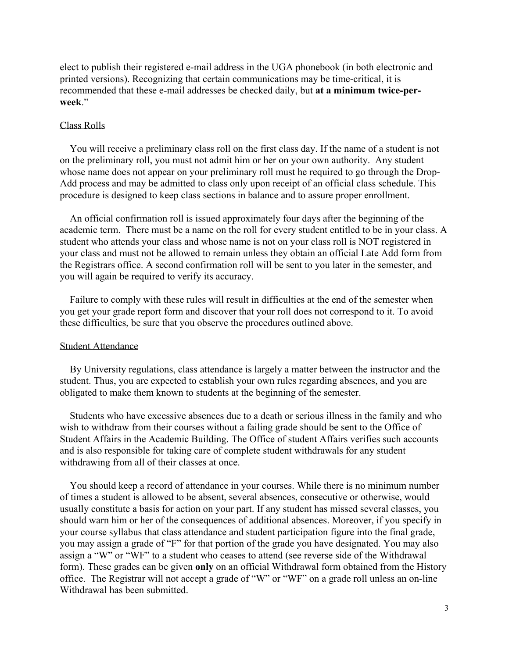elect to publish their registered e-mail address in the UGA phonebook (in both electronic and printed versions). Recognizing that certain communications may be time-critical, it is recommended that these e-mail addresses be checked daily, but **at a minimum twice-perweek**."

#### Class Rolls

 You will receive a preliminary class roll on the first class day. If the name of a student is not on the preliminary roll, you must not admit him or her on your own authority. Any student whose name does not appear on your preliminary roll must he required to go through the Drop-Add process and may be admitted to class only upon receipt of an official class schedule. This procedure is designed to keep class sections in balance and to assure proper enrollment.

 An official confirmation roll is issued approximately four days after the beginning of the academic term. There must be a name on the roll for every student entitled to be in your class. A student who attends your class and whose name is not on your class roll is NOT registered in your class and must not be allowed to remain unless they obtain an official Late Add form from the Registrars office. A second confirmation roll will be sent to you later in the semester, and you will again be required to verify its accuracy.

 Failure to comply with these rules will result in difficulties at the end of the semester when you get your grade report form and discover that your roll does not correspond to it. To avoid these difficulties, be sure that you observe the procedures outlined above.

#### Student Attendance

 By University regulations, class attendance is largely a matter between the instructor and the student. Thus, you are expected to establish your own rules regarding absences, and you are obligated to make them known to students at the beginning of the semester.

 Students who have excessive absences due to a death or serious illness in the family and who wish to withdraw from their courses without a failing grade should be sent to the Office of Student Affairs in the Academic Building. The Office of student Affairs verifies such accounts and is also responsible for taking care of complete student withdrawals for any student withdrawing from all of their classes at once.

 You should keep a record of attendance in your courses. While there is no minimum number of times a student is allowed to be absent, several absences, consecutive or otherwise, would usually constitute a basis for action on your part. If any student has missed several classes, you should warn him or her of the consequences of additional absences. Moreover, if you specify in your course syllabus that class attendance and student participation figure into the final grade, you may assign a grade of "F" for that portion of the grade you have designated. You may also assign a "W" or "WF" to a student who ceases to attend (see reverse side of the Withdrawal form). These grades can be given **only** on an official Withdrawal form obtained from the History office. The Registrar will not accept a grade of "W" or "WF" on a grade roll unless an on-line Withdrawal has been submitted.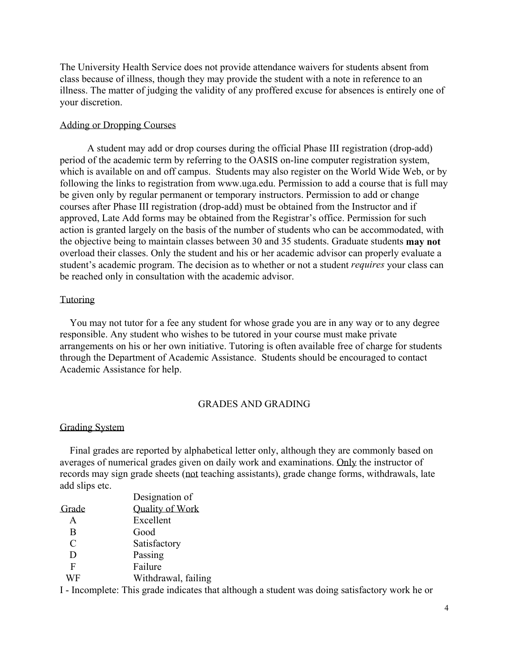The University Health Service does not provide attendance waivers for students absent from class because of illness, though they may provide the student with a note in reference to an illness. The matter of judging the validity of any proffered excuse for absences is entirely one of your discretion.

#### Adding or Dropping Courses

 A student may add or drop courses during the official Phase III registration (drop-add) period of the academic term by referring to the OASIS on-line computer registration system, which is available on and off campus. Students may also register on the World Wide Web, or by following the links to registration from www.uga.edu. Permission to add a course that is full may be given only by regular permanent or temporary instructors. Permission to add or change courses after Phase III registration (drop-add) must be obtained from the Instructor and if approved, Late Add forms may be obtained from the Registrar's office. Permission for such action is granted largely on the basis of the number of students who can be accommodated, with the objective being to maintain classes between 30 and 35 students. Graduate students **may not** overload their classes. Only the student and his or her academic advisor can properly evaluate a student's academic program. The decision as to whether or not a student *requires* your class can be reached only in consultation with the academic advisor.

#### **Tutoring**

 You may not tutor for a fee any student for whose grade you are in any way or to any degree responsible. Any student who wishes to be tutored in your course must make private arrangements on his or her own initiative. Tutoring is often available free of charge for students through the Department of Academic Assistance. Students should be encouraged to contact Academic Assistance for help.

### GRADES AND GRADING

### Grading System

 Final grades are reported by alphabetical letter only, although they are commonly based on averages of numerical grades given on daily work and examinations. Only the instructor of records may sign grade sheets (not teaching assistants), grade change forms, withdrawals, late add slips etc.

|               | Designation of                                                                                                                            |
|---------------|-------------------------------------------------------------------------------------------------------------------------------------------|
| Grade         | <b>Quality of Work</b>                                                                                                                    |
| A             | Excellent                                                                                                                                 |
| B             | Good                                                                                                                                      |
| $\mathcal{C}$ | Satisfactory                                                                                                                              |
| D             | Passing                                                                                                                                   |
| F             | Failure                                                                                                                                   |
| WF            | Withdrawal, failing                                                                                                                       |
| <b>T T</b>    | $-11$ $-1$ $-1$ $-1$ $-1$ $-1$ $-1$<br>$\blacksquare$ . $\blacksquare$ . $\blacksquare$ . $\blacksquare$ . $\blacksquare$<br>$\mathbf{1}$ |

I - Incomplete: This grade indicates that although a student was doing satisfactory work he or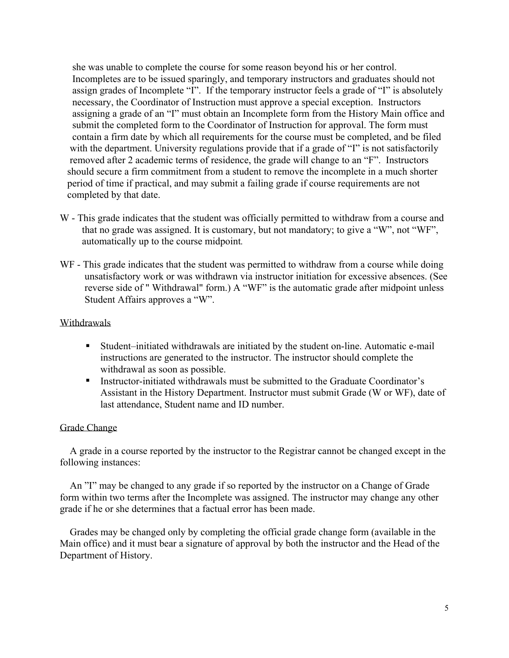she was unable to complete the course for some reason beyond his or her control. Incompletes are to be issued sparingly, and temporary instructors and graduates should not assign grades of Incomplete "I". If the temporary instructor feels a grade of "I" is absolutely necessary, the Coordinator of Instruction must approve a special exception. Instructors assigning a grade of an "I" must obtain an Incomplete form from the History Main office and submit the completed form to the Coordinator of Instruction for approval. The form must contain a firm date by which all requirements for the course must be completed, and be filed with the department. University regulations provide that if a grade of "I" is not satisfactorily removed after 2 academic terms of residence, the grade will change to an "F". Instructors should secure a firm commitment from a student to remove the incomplete in a much shorter period of time if practical, and may submit a failing grade if course requirements are not completed by that date.

- W This grade indicates that the student was officially permitted to withdraw from a course and that no grade was assigned. It is customary, but not mandatory; to give a "W", not "WF", automatically up to the course midpoint*.*
- WF This grade indicates that the student was permitted to withdraw from a course while doing unsatisfactory work or was withdrawn via instructor initiation for excessive absences. (See reverse side of " Withdrawal" form.) A "WF" is the automatic grade after midpoint unless Student Affairs approves a "W".

## Withdrawals

- Student–initiated withdrawals are initiated by the student on-line. Automatic e-mail instructions are generated to the instructor. The instructor should complete the withdrawal as soon as possible.
- Instructor-initiated withdrawals must be submitted to the Graduate Coordinator's Assistant in the History Department. Instructor must submit Grade (W or WF), date of last attendance, Student name and ID number.

### Grade Change

 A grade in a course reported by the instructor to the Registrar cannot be changed except in the following instances:

 An "I" may be changed to any grade if so reported by the instructor on a Change of Grade form within two terms after the Incomplete was assigned. The instructor may change any other grade if he or she determines that a factual error has been made.

 Grades may be changed only by completing the official grade change form (available in the Main office) and it must bear a signature of approval by both the instructor and the Head of the Department of History.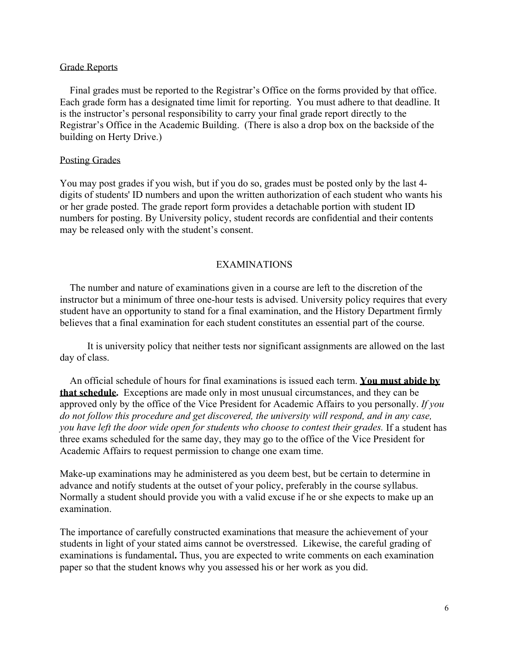### Grade Reports

 Final grades must be reported to the Registrar's Office on the forms provided by that office. Each grade form has a designated time limit for reporting. You must adhere to that deadline. It is the instructor's personal responsibility to carry your final grade report directly to the Registrar's Office in the Academic Building. (There is also a drop box on the backside of the building on Herty Drive.)

#### Posting Grades

You may post grades if you wish, but if you do so, grades must be posted only by the last 4 digits of students' ID numbers and upon the written authorization of each student who wants his or her grade posted. The grade report form provides a detachable portion with student ID numbers for posting. By University policy, student records are confidential and their contents may be released only with the student's consent.

## EXAMINATIONS

 The number and nature of examinations given in a course are left to the discretion of the instructor but a minimum of three one-hour tests is advised. University policy requires that every student have an opportunity to stand for a final examination, and the History Department firmly believes that a final examination for each student constitutes an essential part of the course.

 It is university policy that neither tests nor significant assignments are allowed on the last day of class.

 An official schedule of hours for final examinations is issued each term. **You must abide by that schedule.** Exceptions are made only in most unusual circumstances, and they can be approved only by the office of the Vice President for Academic Affairs to you personally. *If you do not follow this procedure and get discovered, the university will respond, and in any case, you have left the door wide open for students who choose to contest their grades.* If a student has three exams scheduled for the same day, they may go to the office of the Vice President for Academic Affairs to request permission to change one exam time.

Make-up examinations may he administered as you deem best, but be certain to determine in advance and notify students at the outset of your policy, preferably in the course syllabus. Normally a student should provide you with a valid excuse if he or she expects to make up an examination.

The importance of carefully constructed examinations that measure the achievement of your students in light of your stated aims cannot be overstressed. Likewise, the careful grading of examinations is fundamental**.** Thus, you are expected to write comments on each examination paper so that the student knows why you assessed his or her work as you did.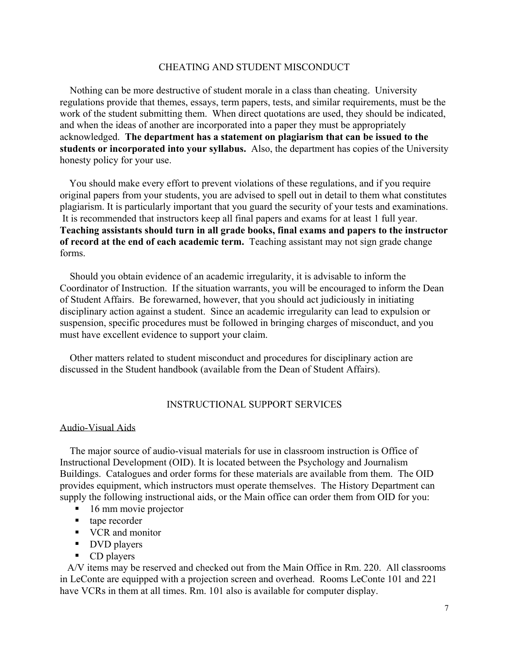### CHEATING AND STUDENT MISCONDUCT

 Nothing can be more destructive of student morale in a class than cheating. University regulations provide that themes, essays, term papers, tests, and similar requirements, must be the work of the student submitting them. When direct quotations are used, they should be indicated, and when the ideas of another are incorporated into a paper they must be appropriately acknowledged. **The department has a statement on plagiarism that can be issued to the students or incorporated into your syllabus.** Also, the department has copies of the University honesty policy for your use.

 You should make every effort to prevent violations of these regulations, and if you require original papers from your students, you are advised to spell out in detail to them what constitutes plagiarism. It is particularly important that you guard the security of your tests and examinations. It is recommended that instructors keep all final papers and exams for at least 1 full year. **Teaching assistants should turn in all grade books, final exams and papers to the instructor of record at the end of each academic term.** Teaching assistant may not sign grade change forms.

 Should you obtain evidence of an academic irregularity, it is advisable to inform the Coordinator of Instruction. If the situation warrants, you will be encouraged to inform the Dean of Student Affairs. Be forewarned, however, that you should act judiciously in initiating disciplinary action against a student. Since an academic irregularity can lead to expulsion or suspension, specific procedures must be followed in bringing charges of misconduct, and you must have excellent evidence to support your claim.

 Other matters related to student misconduct and procedures for disciplinary action are discussed in the Student handbook (available from the Dean of Student Affairs).

## INSTRUCTIONAL SUPPORT SERVICES

### Audio-Visual Aids

 The major source of audio-visual materials for use in classroom instruction is Office of Instructional Development (OID). It is located between the Psychology and Journalism Buildings. Catalogues and order forms for these materials are available from them. The OID provides equipment, which instructors must operate themselves. The History Department can supply the following instructional aids, or the Main office can order them from OID for you:

- $\blacksquare$  16 mm movie projector
- tape recorder
- VCR and monitor
- **DVD** players
- $\blacksquare$  CD players

 A/V items may be reserved and checked out from the Main Office in Rm. 220. All classrooms in LeConte are equipped with a projection screen and overhead. Rooms LeConte 101 and 221 have VCRs in them at all times. Rm. 101 also is available for computer display.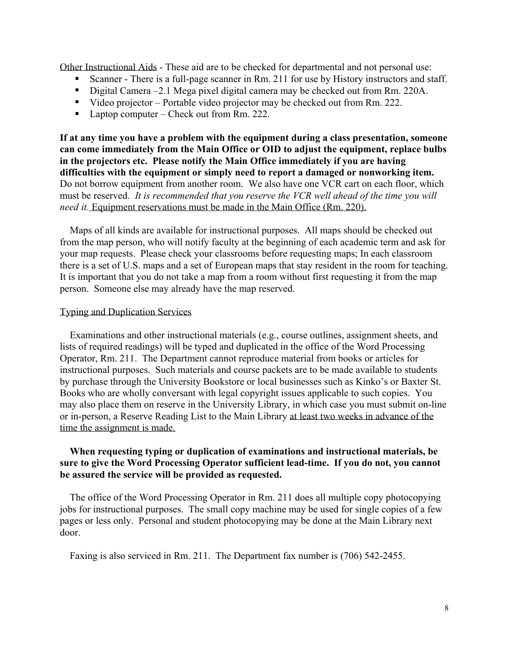Other Instructional Aids - These aid are to be checked for departmental and not personal use:

- Scanner There is a full-page scanner in Rm. 211 for use by History instructors and staff.
- Digital Camera –2.1 Mega pixel digital camera may be checked out from Rm. 220A.
- Video projector Portable video projector may be checked out from Rm. 222.
- Laptop computer Check out from Rm. 222.

**If at any time you have a problem with the equipment during a class presentation, someone can come immediately from the Main Office or OID to adjust the equipment, replace bulbs in the projectors etc. Please notify the Main Office immediately if you are having difficulties with the equipment or simply need to report a damaged or nonworking item.** Do not borrow equipment from another room. We also have one VCR cart on each floor, which must be reserved. *It is recommended that you reserve the VCR well ahead of the time you will need it.* Equipment reservations must be made in the Main Office (Rm. 220).

 Maps of all kinds are available for instructional purposes. All maps should be checked out from the map person, who will notify faculty at the beginning of each academic term and ask for your map requests. Please check your classrooms before requesting maps; In each classroom there is a set of U.S. maps and a set of European maps that stay resident in the room for teaching. It is important that you do not take a map from a room without first requesting it from the map person. Someone else may already have the map reserved.

## Typing and Duplication Services

 Examinations and other instructional materials (e.g., course outlines, assignment sheets, and lists of required readings) will be typed and duplicated in the office of the Word Processing Operator, Rm. 211. The Department cannot reproduce material from books or articles for instructional purposes. Such materials and course packets are to be made available to students by purchase through the University Bookstore or local businesses such as Kinko's or Baxter St. Books who are wholly conversant with legal copyright issues applicable to such copies. You may also place them on reserve in the University Library, in which case you must submit on-line or in-person, a Reserve Reading List to the Main Library at least two weeks in advance of the time the assignment is made.

## **When requesting typing or duplication of examinations and instructional materials, be sure to give the Word Processing Operator sufficient lead-time. If you do not, you cannot be assured the service will be provided as requested.**

 The office of the Word Processing Operator in Rm. 211 does all multiple copy photocopying jobs for instructional purposes. The small copy machine may be used for single copies of a few pages or less only. Personal and student photocopying may be done at the Main Library next door.

Faxing is also serviced in Rm. 211. The Department fax number is (706) 542-2455.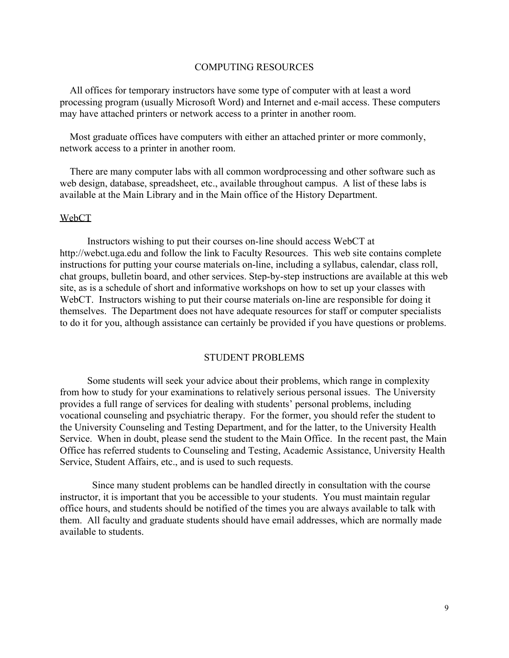#### COMPUTING RESOURCES

 All offices for temporary instructors have some type of computer with at least a word processing program (usually Microsoft Word) and Internet and e-mail access. These computers may have attached printers or network access to a printer in another room.

 Most graduate offices have computers with either an attached printer or more commonly, network access to a printer in another room.

 There are many computer labs with all common wordprocessing and other software such as web design, database, spreadsheet, etc., available throughout campus. A list of these labs is available at the Main Library and in the Main office of the History Department.

#### WebCT

 Instructors wishing to put their courses on-line should access WebCT at http://webct.uga.edu and follow the link to Faculty Resources. This web site contains complete instructions for putting your course materials on-line, including a syllabus, calendar, class roll, chat groups, bulletin board, and other services. Step-by-step instructions are available at this web site, as is a schedule of short and informative workshops on how to set up your classes with WebCT. Instructors wishing to put their course materials on-line are responsible for doing it themselves. The Department does not have adequate resources for staff or computer specialists to do it for you, although assistance can certainly be provided if you have questions or problems.

#### STUDENT PROBLEMS

 Some students will seek your advice about their problems, which range in complexity from how to study for your examinations to relatively serious personal issues. The University provides a full range of services for dealing with students' personal problems, including vocational counseling and psychiatric therapy. For the former, you should refer the student to the University Counseling and Testing Department, and for the latter, to the University Health Service. When in doubt, please send the student to the Main Office. In the recent past, the Main Office has referred students to Counseling and Testing, Academic Assistance, University Health Service, Student Affairs, etc., and is used to such requests.

 Since many student problems can be handled directly in consultation with the course instructor, it is important that you be accessible to your students. You must maintain regular office hours, and students should be notified of the times you are always available to talk with them. All faculty and graduate students should have email addresses, which are normally made available to students.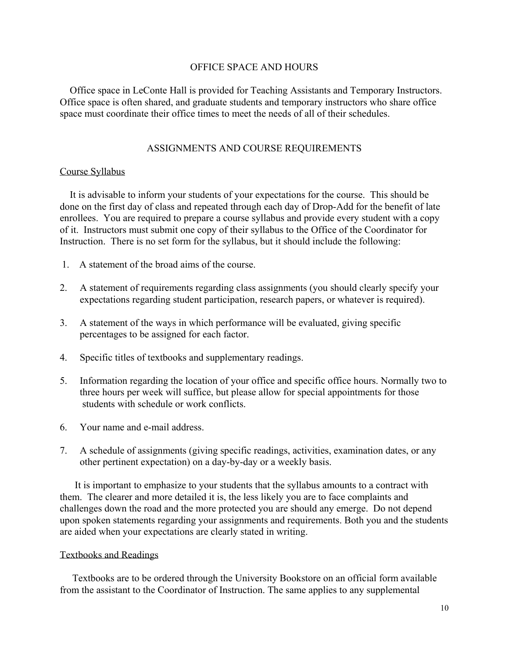## OFFICE SPACE AND HOURS

 Office space in LeConte Hall is provided for Teaching Assistants and Temporary Instructors. Office space is often shared, and graduate students and temporary instructors who share office space must coordinate their office times to meet the needs of all of their schedules.

## ASSIGNMENTS AND COURSE REQUIREMENTS

### Course Syllabus

 It is advisable to inform your students of your expectations for the course. This should be done on the first day of class and repeated through each day of Drop-Add for the benefit of late enrollees. You are required to prepare a course syllabus and provide every student with a copy of it. Instructors must submit one copy of their syllabus to the Office of the Coordinator for Instruction. There is no set form for the syllabus, but it should include the following:

- 1. A statement of the broad aims of the course.
- 2. A statement of requirements regarding class assignments (you should clearly specify your expectations regarding student participation, research papers, or whatever is required).
- 3. A statement of the ways in which performance will be evaluated, giving specific percentages to be assigned for each factor.
- 4. Specific titles of textbooks and supplementary readings.
- 5. Information regarding the location of your office and specific office hours. Normally two to three hours per week will suffice, but please allow for special appointments for those students with schedule or work conflicts.
- 6. Your name and e-mail address.
- 7. A schedule of assignments (giving specific readings, activities, examination dates, or any other pertinent expectation) on a day-by-day or a weekly basis.

 It is important to emphasize to your students that the syllabus amounts to a contract with them. The clearer and more detailed it is, the less likely you are to face complaints and challenges down the road and the more protected you are should any emerge. Do not depend upon spoken statements regarding your assignments and requirements. Both you and the students are aided when your expectations are clearly stated in writing.

### Textbooks and Readings

 Textbooks are to be ordered through the University Bookstore on an official form available from the assistant to the Coordinator of Instruction. The same applies to any supplemental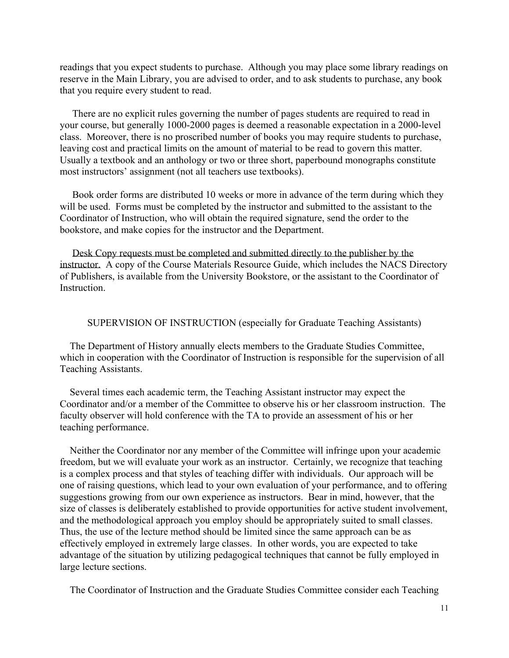readings that you expect students to purchase. Although you may place some library readings on reserve in the Main Library, you are advised to order, and to ask students to purchase, any book that you require every student to read.

 There are no explicit rules governing the number of pages students are required to read in your course, but generally 1000-2000 pages is deemed a reasonable expectation in a 2000-level class. Moreover, there is no proscribed number of books you may require students to purchase, leaving cost and practical limits on the amount of material to be read to govern this matter. Usually a textbook and an anthology or two or three short, paperbound monographs constitute most instructors' assignment (not all teachers use textbooks).

 Book order forms are distributed 10 weeks or more in advance of the term during which they will be used. Forms must be completed by the instructor and submitted to the assistant to the Coordinator of Instruction, who will obtain the required signature, send the order to the bookstore, and make copies for the instructor and the Department.

 Desk Copy requests must be completed and submitted directly to the publisher by the instructor. A copy of the Course Materials Resource Guide, which includes the NACS Directory of Publishers, is available from the University Bookstore, or the assistant to the Coordinator of **Instruction** 

SUPERVISION OF INSTRUCTION (especially for Graduate Teaching Assistants)

 The Department of History annually elects members to the Graduate Studies Committee, which in cooperation with the Coordinator of Instruction is responsible for the supervision of all Teaching Assistants.

 Several times each academic term, the Teaching Assistant instructor may expect the Coordinator and/or a member of the Committee to observe his or her classroom instruction. The faculty observer will hold conference with the TA to provide an assessment of his or her teaching performance.

 Neither the Coordinator nor any member of the Committee will infringe upon your academic freedom, but we will evaluate your work as an instructor. Certainly, we recognize that teaching is a complex process and that styles of teaching differ with individuals. Our approach will be one of raising questions, which lead to your own evaluation of your performance, and to offering suggestions growing from our own experience as instructors. Bear in mind, however, that the size of classes is deliberately established to provide opportunities for active student involvement, and the methodological approach you employ should be appropriately suited to small classes. Thus, the use of the lecture method should be limited since the same approach can be as effectively employed in extremely large classes. In other words, you are expected to take advantage of the situation by utilizing pedagogical techniques that cannot be fully employed in large lecture sections.

The Coordinator of Instruction and the Graduate Studies Committee consider each Teaching